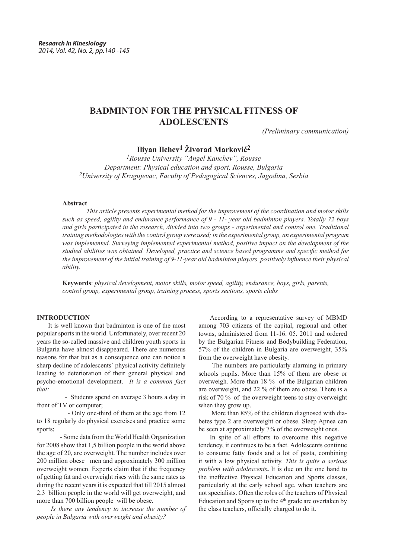# **BADMINTON FOR THE PHYSICAL FITNESS OF ADOLESCENTS**

*(Preliminary communication)*

**Iliyan Ilchev1 Živorad Marković2**

*1Rousse University "Angel Kanchev", Rousse Department: Physical education and sport, Rousse, Bulgaria 2University of Kragujevac, Faculty of Pedagogical Sciences, Jagodina, Serbia*

#### **Abstract**

*This article presents experimental method for the improvement of the coordination and motor skills such as speed, agility and endurance performance of 9 - 11- year old badminton players. Totally 72 boys and girls participated in the research, divided into two groups - experimental and control one. Traditional training methodologies with the control group were used; in the experimental group, an experimental program was implemented. Surveying implemented experimental method, positive impact on the development of the studied abilities was obtained. Developed, practice and science based programme and specific method for the improvement of the initial training of 9-11-year old badminton players positively influence their physical ability.* 

**Keywords**: *physical development, motor skills, motor speed, agility, endurance, boys, girls, parents, control group, experimental group, training process, sports sections, sports clubs*

#### **INTRODUCTION**

It is well known that badminton is one of the most popular sports in the world. Unfortunately, over recent 20 years the so-called massive and children youth sports in Bulgaria have almost disappeared. There are numerous reasons for that but as a consequence one can notice a sharp decline of adolescents` physical activity definitely leading to deterioration of their general physical and psycho-emotional development. *It is a common fact that:*

 - Students spend on average 3 hours a day in front of TV or computer;

 - Only one-third of them at the age from 12 to 18 regularly do physical exercises and practice some sports;

 - Some data from the World Health Organization for 2008 show that 1,5 billion people in the world above the age of 20, are overweight. The number includes over 200 million obese men and approximately 300 million overweight women. Experts claim that if the frequency of getting fat and overweight rises with the same rates as during the recent years it is expected that till 2015 almost 2,3 billion people in the world will get overweight, and more than 700 billion people will be obese.

*Is there any tendency to increase the number of people in Bulgaria with overweight and obesity?* 

According to a representative survey of MBMD among 703 citizens of the capital, regional and other towns, administered from 11-16. 05. 2011 and ordered by the Bulgarian Fitness and Bodybuilding Federation, 57% of the children in Bulgaria are overweight, 35% from the overweight have obesity.

The numbers are particularly alarming in primary schools pupils. More than 15% of them are obese or overweigh. More than 18 % of the Bulgarian children are overweight, and 22 % of them are obese. There is a risk of 70 % of the overweight teens to stay overweight when they grow up.

More than 85% of the children diagnosed with diabetes type 2 are overweight or obese. Sleep Apnea can be seen at approximately 7% of the overweight ones.

In spite of all efforts to overcome this negative tendency, it continues to be a fact. Adolescents continue to consume fatty foods and a lot of pasta, combining it with a low physical activity. *This is quite a serious problem with adolescents***.** It is due on the one hand to the ineffective Physical Education and Sports classes, particularly at the early school age, when teachers are not specialists. Often the roles of the teachers of Physical Education and Sports up to the  $4<sup>th</sup>$  grade are overtaken by the class teachers, officially charged to do it.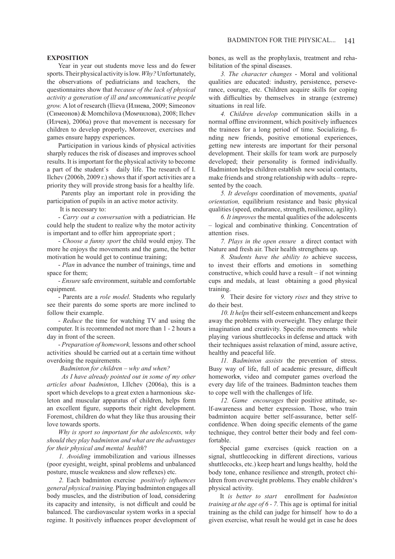#### **EXPOSITION**

Year in year out students move less and do fewer sports. Their physical activity is low. *Why?*Unfortunately, the observations of pediatricians and teachers, the questionnaires show that *because of the lack of physical activity a generation of ill and uncommunicative people grow.* A lot of research (Ilieva (Илиева, 2009; Simeonov (Симеонов) & Momchilova (Момчилова), 2008; Ilchev (Илчев), 2006a) prove that movement is necessary for children to develop properly**.** Moreover, exercises and games ensure happy experiences.

Participation in various kinds of physical activities sharply reduces the risk of diseases and improves school results. It is important for the physical activity to become a part of the student`s daily life. The research of I. Ilchev (2006b, 2009 г.) shows that if sport activities are a priority they will provide strong basis for a healthy life.

Parents play an important role in providing the participation of pupils in an active motor activity.

It is necessary to:

- *Carry out a conversation* with a pediatrician. He could help the student to realize why the motor activity is important and to offer him appropriate sport ;

- *Choose a funny sport* the child would enjoy. The more he enjoys the movements and the game, the better motivation he would get to continue training;

- *Plan* in advance the number of trainings, time and space for them;

- *Ensure* safe environment, suitable and comfortable equipment.

- Parents are a *role model.* Students who regularly see their parents do some sports are more inclined to follow their example.

- *Reduce* the time for watching TV and using the computer. It is recommended not more than 1 - 2 hours a day in front of the screen.

- *Preparation of homework,* lessons and other school activities should be carried out at a certain time without overdoing the requirements.

#### *Badminton for children – why and when?*

 *As I have already pointed out in some of my other articles about badminton*, I.Ilchev (2006a), this is a sport which develops to a great exten a harmonious skeleton and muscular apparatus of children, helps form an excellent figure, supports their right development. Foremost, children do what they like thus arousing their love towards sports.

*Why is sport so important for the adolescents, why should they play badminton and what are the advantages for their physical and mental health*?

*1. Avoiding* immobilization and various illnesses (poor eyesight, weight, spinal problems and unbalanced posture, muscle weakness and slow reflexes) etc.

*2.* Each badminton exercise *positively influences general physical training.* Playing badminton engages all body muscles, and the distribution of load, considering its capacity and intensity, is not difficult and could be balanced. The cardiovascular system works in a special regime. It positively influences proper development of bones, as well as the prophylaxis, treatment and rehabilitation of the spinal diseases.

*3. The character changes* - Moral and volitional qualities are educated: industry, persistence, perseverance, courage, etc. Children acquire skills for coping with difficulties by themselves in strange (extreme) situations in real life.

*4. Children develop* communication skills in a normal offline environment, which positively influences the trainees for a long period of time. Socializing, finding new friends, positive emotional experiences, getting new interests are important for their personal development. Their skills for team work are purposely developed; their personality is formed individually. Badminton helps children establish new social contacts, make friends and strong relationship with adults – represented by the coach.

*5. It develops* coordination of movements, *spatial orientation,* equilibrium resistance and basic physical qualities (speed, endurance, strength, resilience, agility).

*6. It improves* the mental qualities of the adolescents – logical and combinative thinking. Concentration of attention rises.

*7. Plays in the open ensure* a direct contact with Nature and fresh air. Their health strengthens up.

*8. Students have the ability to* achieve success, to invest their efforts and emotions in something constructive, which could have a result – if not winning cups and medals, at least obtaining a good physical training.

*9.*Their desire for victory *rises* and they strive to do their best.

10. It helps their self-esteem enhancement and keeps away the problems with overweight. They enlarge their imagination and creativity. Specific movements while playing various shuttlecocks in defense and attack with their techniques assist relaxation of mind, assure active, healthy and peaceful life.

*11. Badminton assists* the prevention of stress. Busy way of life, full of academic pressure, difficult homeworks, video and computer games overload the every day life of the trainees. Badminton teaches them to cope well with the challenges of life.

*12. Game encourages* their positive attitude, self-awareness and better expression. Those, who train badminton acquire better self-assurance, better selfconfidence. When doing specific elements of the game technique, they control better their body and feel comfortable.

Special game exercises (quick reaction on a signal, shuttlecocking in different directions, various shuttlecocks, etc.) keep heart and lungs healthy, hold the body tone, enhance resilience and strength, protect children from overweight problems. They enable children's physical activity.

It *is better to start* enrollment for *badminton training at the age of 6 - 7.* This age is optimal for initial training as the child can judge for himself how to do a given exercise, what result he would get in case he does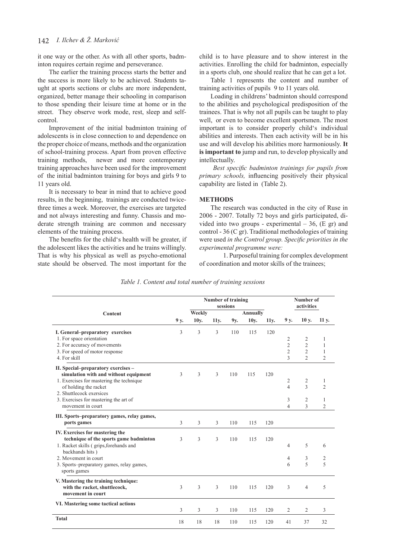# 142 *I. Ilchev & Ž. Marković*

it one way or the other. As with all other sports, badminton requires certain regime and perseverance.

The earlier the training process starts the better and the success is more likely to be achieved. Students taught at sports sections or clubs are more independent, organized, better manage their schooling in comparison to those spending their leisure time at home or in the street. They observe work mode, rest, sleep and selfcontrol.

Improvement of the initial badminton training of adolescents is in close connection to and dependence on the proper choice of means, methods and the organization of school-training process. Apart from proven effective training methods, newer and more contemporary training approaches have been used for the improvement of the initial badminton training for boys and girls 9 to 11 years old.

It is necessary to bear in mind that to achieve good results, in the beginning, trainings are conducted twicethree times a week. Moreover, the exercises are targeted and not always interesting and funny. Chassis and moderate strength training are common and necessary elements of the training process.

The benefits for the child's health will be greater, if the adolescent likes the activities and he trains willingly. That is why his physical as well as psycho-emotional state should be observed. The most important for the child is to have pleasure and to show interest in the activities. Enrolling the child for badminton, especially in a sports club, one should realize that he can get a lot.

Table 1 represents the content and number of training activities of pupils 9 to 11 years old.

Loading in childrens' badminton should correspond to the abilities and psychological predisposition of the trainees. That is why not all pupils can be taught to play well, or even to become excellent sportsmen. The most important is to consider properly child's individual abilities and interests. Then each activity will be in his use and will develop his abilities more harmoniously. **It is important to** jump and run, to develop physically and intellectually.

 *Best specific badminton trainings for pupils from primary schools,* influencing positively their physical capability are listed in (Table 2).

#### **METHODS**

The research was conducted in the city of Ruse in 2006 - 2007. Totally 72 boys and girls participated, divided into two groups - experimental  $-36$ , (E gr) and control - 36 (C gr). Traditional methodologies of training were used *in the Control group. Specific priorities in the experimental programme were:*

1. Purposeful training for complex development of coordination and motor skills of the trainees;

|                                                |      | <b>Number of training</b><br>sessions |                   |     |                         |                   | Number of<br>activities          |                          |                   |
|------------------------------------------------|------|---------------------------------------|-------------------|-----|-------------------------|-------------------|----------------------------------|--------------------------|-------------------|
| Content                                        | 9 y. | Weekly<br>10y.                        | 11 <sub>y</sub> . | 9y. | <b>Annually</b><br>10y. | 11 <sub>y</sub> . | 9 y.                             | 10 y.                    | 11 y.             |
|                                                |      |                                       |                   |     |                         |                   |                                  |                          |                   |
| I. General-preparatory exercises               | 3    | 3                                     | 3                 | 110 | 115                     | 120               |                                  |                          |                   |
| 1. For space orientation                       |      |                                       |                   |     |                         |                   | $\overline{c}$<br>$\overline{c}$ | 2<br>$\overline{2}$      | 1<br>$\mathbf{1}$ |
| 2. For accuracy of movements                   |      |                                       |                   |     |                         |                   | $\overline{c}$                   | $\overline{2}$           | $\mathbf{1}$      |
| 3. For speed of motor response<br>4. For skill |      |                                       |                   |     |                         |                   | 3                                | $\mathfrak{D}$           | $\overline{2}$    |
|                                                |      |                                       |                   |     |                         |                   |                                  |                          |                   |
| II. Special-preparatory exercises -            |      |                                       |                   |     |                         |                   |                                  |                          |                   |
| simulation with and without equipment          | 3    | 3                                     | 3                 | 110 | 115                     | 120               |                                  |                          |                   |
| 1. Exercises for mastering the technique       |      |                                       |                   |     |                         |                   | 2                                | 2                        | 1                 |
| of holding the racket                          |      |                                       |                   |     |                         |                   | 4                                | $\overline{\mathcal{L}}$ | $\mathfrak{D}$    |
| 2. Shuttlecock exersices                       |      |                                       |                   |     |                         |                   |                                  |                          |                   |
| 3. Exercises for mastering the art of          |      |                                       |                   |     |                         |                   | 3                                | 2                        | 1                 |
| movement in court                              |      |                                       |                   |     |                         |                   | 4                                | 3                        | $\overline{2}$    |
| III. Sports-preparatory games, relay games,    |      |                                       |                   |     |                         |                   |                                  |                          |                   |
| ports games                                    | 3    | 3                                     | 3                 | 110 | 115                     | 120               |                                  |                          |                   |
| IV. Exercises for mastering the                |      |                                       |                   |     |                         |                   |                                  |                          |                   |
| technique of the sports game badminton         | 3    | 3                                     | 3                 | 110 | 115                     | 120               |                                  |                          |                   |
| 1. Racket skills (grips, forehands and         |      |                                       |                   |     |                         |                   | $\overline{4}$                   | 5                        | 6                 |
| backhands hits)                                |      |                                       |                   |     |                         |                   |                                  |                          |                   |
| 2. Movement in court                           |      |                                       |                   |     |                         |                   | 4                                | 3                        | 2                 |
| 3. Sports-preparatory games, relay games,      |      |                                       |                   |     |                         |                   | 6                                | 5                        | 5                 |
| sports games                                   |      |                                       |                   |     |                         |                   |                                  |                          |                   |
| V. Mastering the training technique:           |      |                                       |                   |     |                         |                   |                                  |                          |                   |
| with the racket, shuttlecock,                  | 3    | 3                                     | 3                 | 110 | 115                     | 120               | 3                                | $\overline{4}$           | 5                 |
| movement in court                              |      |                                       |                   |     |                         |                   |                                  |                          |                   |
| VI. Mastering some tactical actions            |      |                                       |                   |     |                         |                   |                                  |                          |                   |
|                                                | 3    | 3                                     | 3                 | 110 | 115                     | 120               | $\overline{2}$                   | 2                        | 3                 |
| <b>Total</b>                                   | 18   | 18                                    | 18                | 110 | 115                     | 120               | 41                               | 37                       | 32                |
|                                                |      |                                       |                   |     |                         |                   |                                  |                          |                   |

|  |  |  | Table 1. Content and total number of training sessions |
|--|--|--|--------------------------------------------------------|
|  |  |  |                                                        |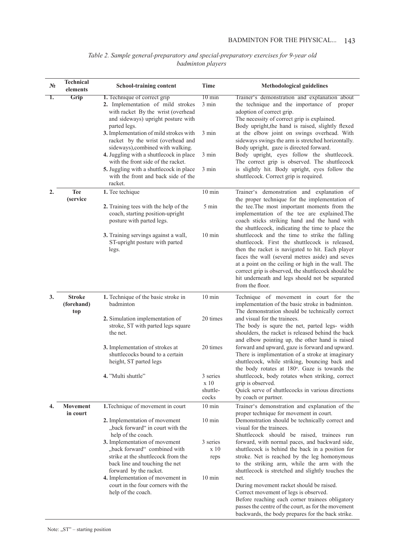| $N_2$ | <b>Technical</b><br>elements   | <b>School-training content</b>                                                                                                                                  | <b>Time</b>                           | <b>Methodological guidelines</b>                                                                                                                                                                                                                                                                                                                                                            |
|-------|--------------------------------|-----------------------------------------------------------------------------------------------------------------------------------------------------------------|---------------------------------------|---------------------------------------------------------------------------------------------------------------------------------------------------------------------------------------------------------------------------------------------------------------------------------------------------------------------------------------------------------------------------------------------|
| 1.    | Grip                           | 1. Technique of correct grip<br>2. Implementation of mild strokes<br>with racket By the wrist (overhead<br>and sideways) upright posture with<br>parted legs.   | $10 \text{ min}$<br>3 min             | Trainer's demonstration and explanation about<br>the technique and the importance of proper<br>adoption of correct grip.<br>The necessity of correct grip is explained.<br>Body upright, the hand is raised, slightly flexed                                                                                                                                                                |
|       |                                | 3. Implementation of mild strokes with<br>racket by the wrist (overhead and<br>sideways), combined with walking.                                                | 3 min                                 | at the elbow joint on swings overhead. With<br>sideways swings the arm is stretched horizontally.<br>Body upright, gaze is directed forward.                                                                                                                                                                                                                                                |
|       |                                | 4. Juggling with a shuttlecock in place<br>with the front side of the racket.                                                                                   | 3 min                                 | Body upright, eyes follow the shuttlecock.<br>The correct grip is observed. The shuttlecock                                                                                                                                                                                                                                                                                                 |
|       |                                | 5. Juggling with a shuttlecock in place<br>with the front and back side of the<br>racket.                                                                       | 3 min                                 | is slightly hit. Body upright, eyes follow the<br>shuttlecock. Correct grip is required.                                                                                                                                                                                                                                                                                                    |
| 2.    | <b>Tee</b><br><i>(service)</i> | 1. Tee techique                                                                                                                                                 | $10 \text{ min}$                      | Trainer's demonstration and explanation of<br>the proper technique for the implementation of                                                                                                                                                                                                                                                                                                |
|       |                                | 2. Training tees with the help of the<br>coach, starting position-upright<br>posture with parted legs.                                                          | 5 min                                 | the tee. The most important moments from the<br>implementation of the tee are explained. The<br>coach sticks striking hand and the hand with<br>the shuttlecock, indicating the time to place the                                                                                                                                                                                           |
|       |                                | 3. Training servings against a wall,<br>ST-upright posture with parted<br>legs.                                                                                 | $10 \text{ min}$                      | shuttlecock and the time to strike the falling<br>shuttlecock. First the shuttlecock is released,<br>then the racket is navigated to hit. Each player<br>faces the wall (several metres aside) and seves<br>at a point on the ceiling or high in the wall. The<br>correct grip is observed, the shuttlecock should be<br>hit underneath and legs should not be separated<br>from the floor. |
| 3.    | <b>Stroke</b><br>(forehand)    | 1. Technique of the basic stroke in<br>badminton                                                                                                                | $10 \text{ min}$                      | Technique of movement in court for the<br>implementation of the basic stroke in badminton.                                                                                                                                                                                                                                                                                                  |
|       | top                            | 2. Simulation implementation of<br>stroke, ST with parted legs square<br>the net.                                                                               | 20 times                              | The demonstration should be technically correct<br>and visual for the trainees.<br>The body is squre the net, parted legs- width<br>shoulders, the racket is released behind the back<br>and elbow pointing up, the other hand is raised                                                                                                                                                    |
|       |                                | 3. Implementation of strokes at<br>shuttlecocks bound to a certain<br>height, ST parted legs                                                                    | 20 times                              | forward and upward, gaze is forward and upward.<br>There is implimentation of a stroke at imaginary<br>shuttlecock, while striking, bouncing back and<br>the body rotates at 180°. Gaze is towards the                                                                                                                                                                                      |
|       |                                | 4. "Multi shuttle"                                                                                                                                              | 3 series<br>x 10<br>shuttle-<br>cocks | shuttlecock, body rotates when striking, correct<br>grip is observed.<br>Quick serve of shuttlecocks in various directions<br>by coach or partner.                                                                                                                                                                                                                                          |
| 4.    | <b>Movement</b><br>in court    | 1. Technique of movement in court                                                                                                                               | $10 \text{ min}$                      | Trainer's demonstration and explanation of the<br>proper technique for movement in court.                                                                                                                                                                                                                                                                                                   |
|       |                                | 2. Implementation of movement<br>"back forward" in court with the<br>help of the coach.                                                                         | $10 \text{ min}$                      | Demonstration should be technically correct and<br>visual for the trainees.<br>Shuttlecock should be raised, trainees run                                                                                                                                                                                                                                                                   |
|       |                                | 3. Implementation of movement<br>"back forward" combined with<br>strike at the shuttlecock from the<br>back line and touching the net<br>forward by the racket. | 3 series<br>x 10<br>reps              | forward, with normal paces, and backward side,<br>shuttlecock is behind the back in a position for<br>stroke. Net is reached by the leg homonymous<br>to the striking arm, while the arm with the<br>shuttlecock is stretched and slightly touches the                                                                                                                                      |
|       |                                | 4. Implementation of movement in<br>court in the four corners with the<br>help of the coach.                                                                    | $10 \text{ min}$                      | net.<br>During movement racket should be raised.<br>Correct movement of legs is observed.<br>Before reaching each corner trainees obligatory<br>passes the centre of the court, as for the movement<br>backwards, the body prepares for the back strike.                                                                                                                                    |

 *Table 2. Sample general-preparatory and special-preparatory exercises for 9-year old badminton players*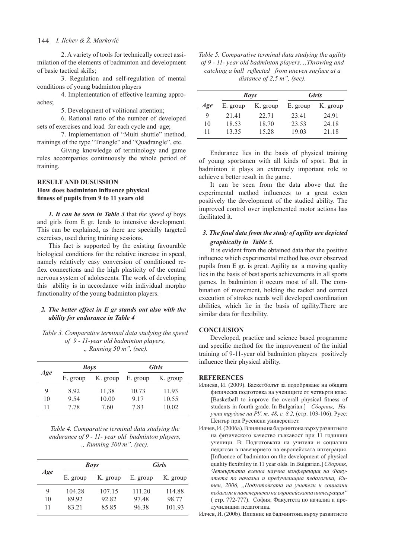# 144 *I. Ilchev & Ž. Marković*

2. A variety of tools for technically correct assimilation of the elements of badminton and development of basic tactical skills;

3. Regulation and self-regulation of mental conditions of young badminton players

4. Implementation of effective learning approaches;

5. Development of volitional attention;

6. Rational ratio of the number of developed sets of exercises and load for each cycle and age;

7. Implementation of "Multi shuttle" method, trainings of the type "Triangle" and "Quadrangle", etc.

Giving knowledge of terminology and game rules accompanies continuously the whole period of training.

# **RESULT AND DUSUSSION How does badminton influence physical fitness of pupils from 9 to 11 years old**

*1. It can be seen in Table 3* that *the speed of* boys and girls from Е gr. lends to intensive development. This can be explained, as there are specially targeted exercises, used during training sessions.

This fact is supported by the existing favourable biological conditions for the relative increase in speed, namely relatively easy conversion of conditioned reflex connections and the high plasticity of the central nervous system of adolescents. The work of developing this ability is in accordance with individual morpho functionality of the young badminton players.

# *2. The better effect in Е gr stands out also with the ability for endurance in Table 4*

## *Table 3. Comparative terminal data studying the speed of 9 - 11-year old badminton players, " Running 50 m", (sec).*

|     | <b>Boys</b> |          | <b>Girls</b> |          |  |
|-----|-------------|----------|--------------|----------|--|
| Age | E. group    | K. group | E. group     | K. group |  |
| 9   | 892         | 11,38    | 10.73        | 11.93    |  |
| 10  | 9.54        | 10.00    | 9 1 7        | 10.55    |  |
| 11  | 7 7 8       | 7.60     | 7.83         | 10.02    |  |

*Table 4. Comparative terminal data studying the endurance of 9 - 11- year old badminton players, " Running 300 m", (sec).*

|     |          | <b>Boys</b> | <b>Girls</b> |          |  |
|-----|----------|-------------|--------------|----------|--|
| Age | E. group | K. group    | E. group     | K. group |  |
| 9   | 104.28   | 107.15      | 111.20       | 114.88   |  |
| 10  | 89 92    | 92.82       | 9748         | 98.77    |  |
| 11  | 83 21    | 85.85       | 96.38        | 101.93   |  |

*Table 5. Comparative terminal data studying the agility of 9 - 11- year old badminton players, "Throwing and catching a ball reflected from uneven surface at a distance of 2,5 m", (sec).*

|     |          | <b>Boys</b> | <b>Girls</b> |          |  |
|-----|----------|-------------|--------------|----------|--|
| Age | E. group | K. group    | E. group     | K. group |  |
| 9   | 21.41    | 22.71       | 23.41        | 24 91    |  |
| 10  | 18.53    | 18.70       | 23.53        | 24.18    |  |
| 11  | 13.35    | 15.28       | 19.03        | 21.18    |  |

Endurance lies in the basis of physical training of young sportsmen with all kinds of sport. But in badminton it plays an extremely important role to achieve a better result in the game.

It can be seen from the data above that the experimental method influences to a great exten positively the development of the studied ability. The improved control over implemented motor actions has facilitated it.

# *3. The final data from the study of agility are depicted graphically in Table 5.*

It is evident from the obtained data that the positive influence which experimental method has over observed pupils from Е gr. is great. Agility as a moving quality lies in the basis of best sports achievements in all sports games. In badminton it occurs most of all. The combination of movement, holding the racket and correct execution of strokes needs well developed coordination abilities, which lie in the basis of agility.There are similar data for flexibility.

## **CONCLUSION**

Developed, practice and science based programme and specific method for the improvement of the initial training of 9-11-year old badminton players positively influence their physical ability.

#### **REFERENCES**

- Илиева, И. (2009). Баскетболът за подобряване на общата физическа подготовка на учениците от четвърти клас. [Basketball to improve the overall physical fitness of students in fourth grade. In Bulgarian.] *Сборник, Научни трудове на РУ, т. 48, с. 8.2,* (стр. 103-106). Русе: Център при Русенски университет.
- Илчев, И. (2006а). Влияние на бадминтона върху развитието на физическото качество гъвкавост при 11 годишни ученици. В: Подготовката на учители и социални педагози в навечерието на европейската интеграция. [Influence of badminton on the development of physical quality flexibility in 11 year olds. In Bulgarian.] *Сборник, Четвъртата есенна научна конференция на Факултета по начална и предучилищна педагогика, Китен, 2006, "Подготовката на учители и социални педагози в навечерието на европейската интеграция"*  ( стр. 772-777). София: Факултета по начална и предучилищна педагогика.

Илчев, И. (200b). Влияние на бадминтона върху развитието